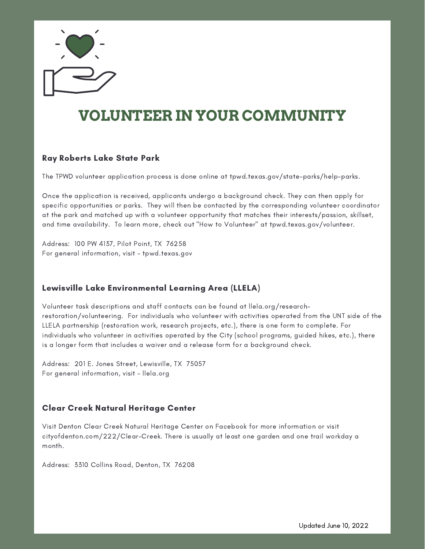

## **VOLUNTEER IN YOUR COMMUNITY**

## Ray Roberts Lake State Park

The TPWD volunteer application process is done online at tpwd.texas.gov/state-parks/help-parks.

Once the application is received, applicants undergo a background check. They can then apply for specific opportunities or parks. They will then be contacted by the corresponding volunteer coordinator at the park and matched up with a volunteer opportunity that matches their interests/passion, skillset, and time availability. To learn more, check out "How to Volunteer" at tpwd.texas.gov/volunteer.

Address: 100 PW 4137, Pilot Point, TX 76258 For general information, visit - tpwd.texas.gov

## Lewisville Lake Environmental Learning Area (LLELA)

Volunteer task descriptions and staff contacts can be found at llela.org/researchrestoration/volunteering. For individuals who volunteer with activities operated from the UNT side of the LLELA partnership (restoration work, research projects, etc.), there is one form to complete. For individuals who volunteer in activities operated by the City (school programs, guided hikes, etc.), there is a longer form that includes a waiver and a release form for a background check.

Address: 201 E. Jones Street, Lewisville, TX 75057 For general information, visit - llela.org

## Clear Creek Natural Heritage Center

Visit Denton Clear Creek Natural Heritage Center on Facebook for more information or visit cityofdenton.com/222/Clear-Creek. There is usually at least one garden and one trail workday a month.

Address: 3310 Collins Road, Denton, TX 76208